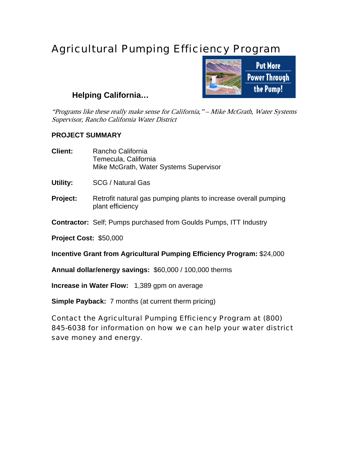## Agricultural Pumping Efficiency Program



## **Helping California…**

"Programs like these really make sense for California," – Mike McGrath, Water Systems Supervisor, Rancho California Water District

## **PROJECT SUMMARY**

| <b>Client:</b>                                                                                                                                            | Rancho California<br>Temecula, California<br>Mike McGrath, Water Systems Supervisor |
|-----------------------------------------------------------------------------------------------------------------------------------------------------------|-------------------------------------------------------------------------------------|
| Utility:                                                                                                                                                  | SCG / Natural Gas                                                                   |
| <b>Project:</b>                                                                                                                                           | Retrofit natural gas pumping plants to increase overall pumping<br>plant efficiency |
|                                                                                                                                                           | <b>Contractor:</b> Self; Pumps purchased from Goulds Pumps, ITT Industry            |
| <b>Project Cost: \$50,000</b>                                                                                                                             |                                                                                     |
| Incentive Grant from Agricultural Pumping Efficiency Program: \$24,000                                                                                    |                                                                                     |
|                                                                                                                                                           | Annual dollar/energy savings: \$60,000 / 100,000 therms                             |
| Increase in Water Flow: 1,389 gpm on average                                                                                                              |                                                                                     |
|                                                                                                                                                           | <b>Simple Payback:</b> 7 months (at current therm pricing)                          |
| Contact the Agricultural Pumping Efficiency Program at (800)<br>845-6038 for information on how we can help your water district<br>save money and energy. |                                                                                     |